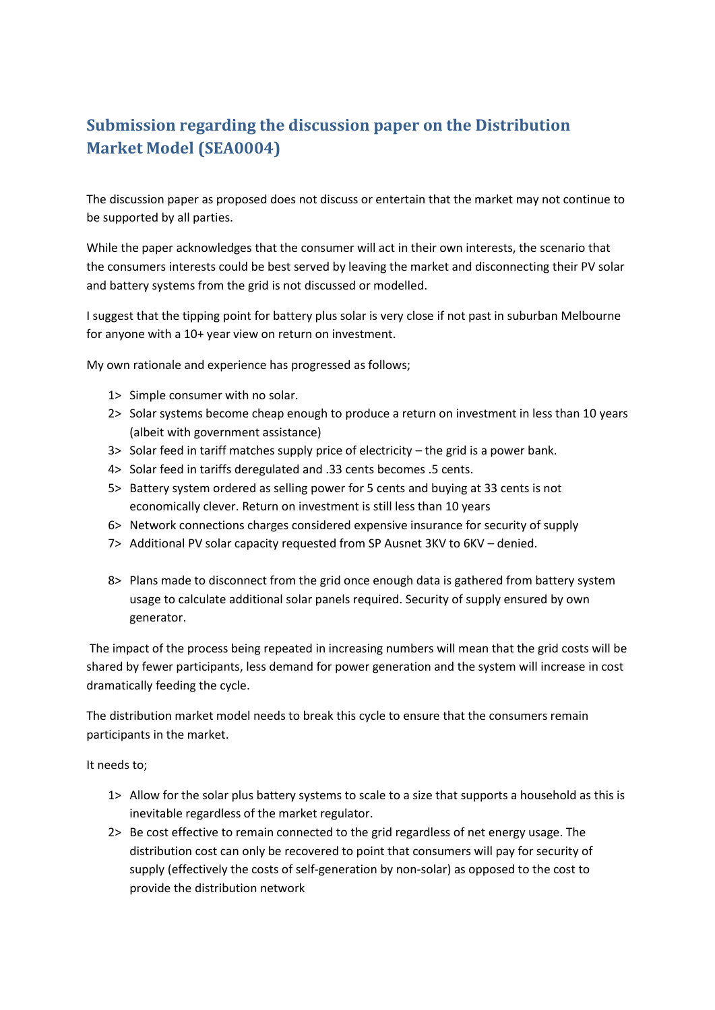## **Submission regarding the discussion paper on the Distribution Market Model (SEA0004)**

The discussion paper as proposed does not discuss or entertain that the market may not continue to be supported by all parties.

While the paper acknowledges that the consumer will act in their own interests, the scenario that the consumers interests could be best served by leaving the market and disconnecting their PV solar and battery systems from the grid is not discussed or modelled.

I suggest that the tipping point for battery plus solar is very close if not past in suburban Melbourne for anyone with a 10+ year view on return on investment.

My own rationale and experience has progressed as follows;

- 1> Simple consumer with no solar.
- 2> Solar systems become cheap enough to produce a return on investment in less than 10 years (albeit with government assistance)
- 3> Solar feed in tariff matches supply price of electricity the grid is a power bank.
- 4> Solar feed in tariffs deregulated and .33 cents becomes .5 cents.
- 5> Battery system ordered as selling power for 5 cents and buying at 33 cents is not economically clever. Return on investment is still less than 10 years
- 6> Network connections charges considered expensive insurance for security of supply
- 7> Additional PV solar capacity requested from SP Ausnet 3KV to 6KV denied.
- 8> Plans made to disconnect from the grid once enough data is gathered from battery system usage to calculate additional solar panels required. Security of supply ensured by own generator.

The impact of the process being repeated in increasing numbers will mean that the grid costs will be shared by fewer participants, less demand for power generation and the system will increase in cost dramatically feeding the cycle.

The distribution market model needs to break this cycle to ensure that the consumers remain participants in the market.

It needs to;

- 1> Allow for the solar plus battery systems to scale to a size that supports a household as this is inevitable regardless of the market regulator.
- 2> Be cost effective to remain connected to the grid regardless of net energy usage. The distribution cost can only be recovered to point that consumers will pay for security of supply (effectively the costs of self-generation by non-solar) as opposed to the cost to provide the distribution network